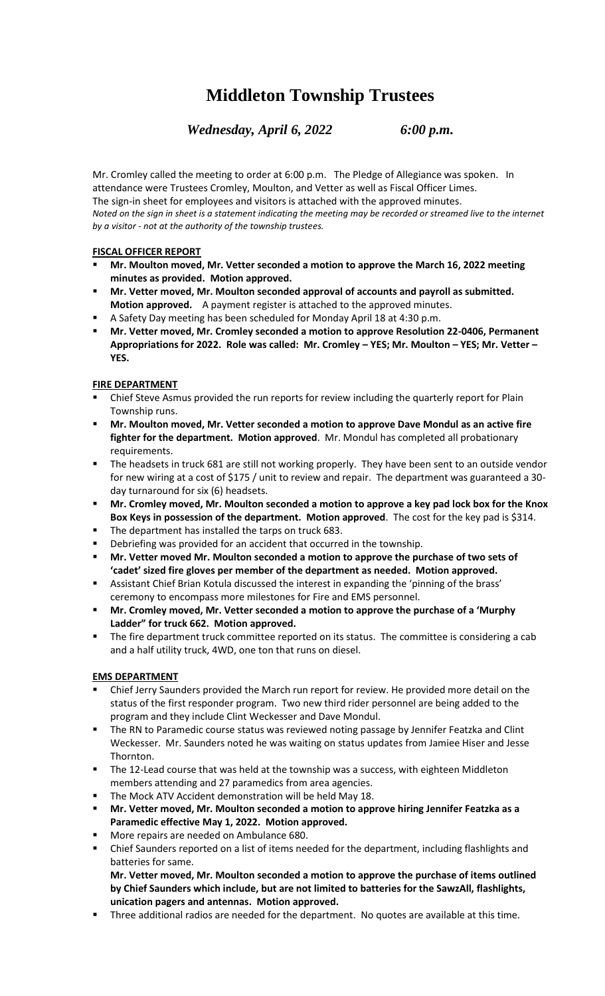# **Middleton Township Trustees**

*Wednesday, April 6, 2022 6:00 p.m.*

Mr. Cromley called the meeting to order at 6:00 p.m. The Pledge of Allegiance was spoken. In attendance were Trustees Cromley, Moulton, and Vetter as well as Fiscal Officer Limes. The sign-in sheet for employees and visitors is attached with the approved minutes. *Noted on the sign in sheet is a statement indicating the meeting may be recorded or streamed live to the internet by a visitor - not at the authority of the township trustees.*

### **FISCAL OFFICER REPORT**

- **Mr. Moulton moved, Mr. Vetter seconded a motion to approve the March 16, 2022 meeting minutes as provided. Motion approved.**
- **Mr. Vetter moved, Mr. Moulton seconded approval of accounts and payroll as submitted. Motion approved.** A payment register is attached to the approved minutes.
- A Safety Day meeting has been scheduled for Monday April 18 at 4:30 p.m.
- **Mr. Vetter moved, Mr. Cromley seconded a motion to approve Resolution 22-0406, Permanent Appropriations for 2022. Role was called: Mr. Cromley – YES; Mr. Moulton – YES; Mr. Vetter – YES.**

### **FIRE DEPARTMENT**

- Chief Steve Asmus provided the run reports for review including the quarterly report for Plain Township runs.
- Mr. Moulton moved, Mr. Vetter seconded a motion to approve Dave Mondul as an active fire **fighter for the department. Motion approved**. Mr. Mondul has completed all probationary requirements.
- The headsets in truck 681 are still not working properly. They have been sent to an outside vendor for new wiring at a cost of \$175 / unit to review and repair. The department was guaranteed a 30 day turnaround for six (6) headsets.
- **Mr. Cromley moved, Mr. Moulton seconded a motion to approve a key pad lock box for the Knox Box Keys in possession of the department. Motion approved**. The cost for the key pad is \$314.
- The department has installed the tarps on truck 683.
- Debriefing was provided for an accident that occurred in the township.
- Mr. Vetter moved Mr. Moulton seconded a motion to approve the purchase of two sets of **'cadet' sized fire gloves per member of the department as needed. Motion approved.**
- Assistant Chief Brian Kotula discussed the interest in expanding the 'pinning of the brass' ceremony to encompass more milestones for Fire and EMS personnel.
- Mr. Cromley moved, Mr. Vetter seconded a motion to approve the purchase of a 'Murphy **Ladder" for truck 662. Motion approved.**
- **■** The fire department truck committee reported on its status. The committee is considering a cab and a half utility truck, 4WD, one ton that runs on diesel.

### **EMS DEPARTMENT**

- Chief Jerry Saunders provided the March run report for review. He provided more detail on the status of the first responder program. Two new third rider personnel are being added to the program and they include Clint Weckesser and Dave Mondul.
- The RN to Paramedic course status was reviewed noting passage by Jennifer Featzka and Clint Weckesser. Mr. Saunders noted he was waiting on status updates from Jamiee Hiser and Jesse Thornton.
- The 12-Lead course that was held at the township was a success, with eighteen Middleton members attending and 27 paramedics from area agencies.
- The Mock ATV Accident demonstration will be held May 18.
- **Mr. Vetter moved, Mr. Moulton seconded a motion to approve hiring Jennifer Featzka as a Paramedic effective May 1, 2022. Motion approved.**
- More repairs are needed on Ambulance 680.
- Chief Saunders reported on a list of items needed for the department, including flashlights and batteries for same.

**Mr. Vetter moved, Mr. Moulton seconded a motion to approve the purchase of items outlined by Chief Saunders which include, but are not limited to batteries for the SawzAll, flashlights, unication pagers and antennas. Motion approved.** 

Three additional radios are needed for the department. No quotes are available at this time.